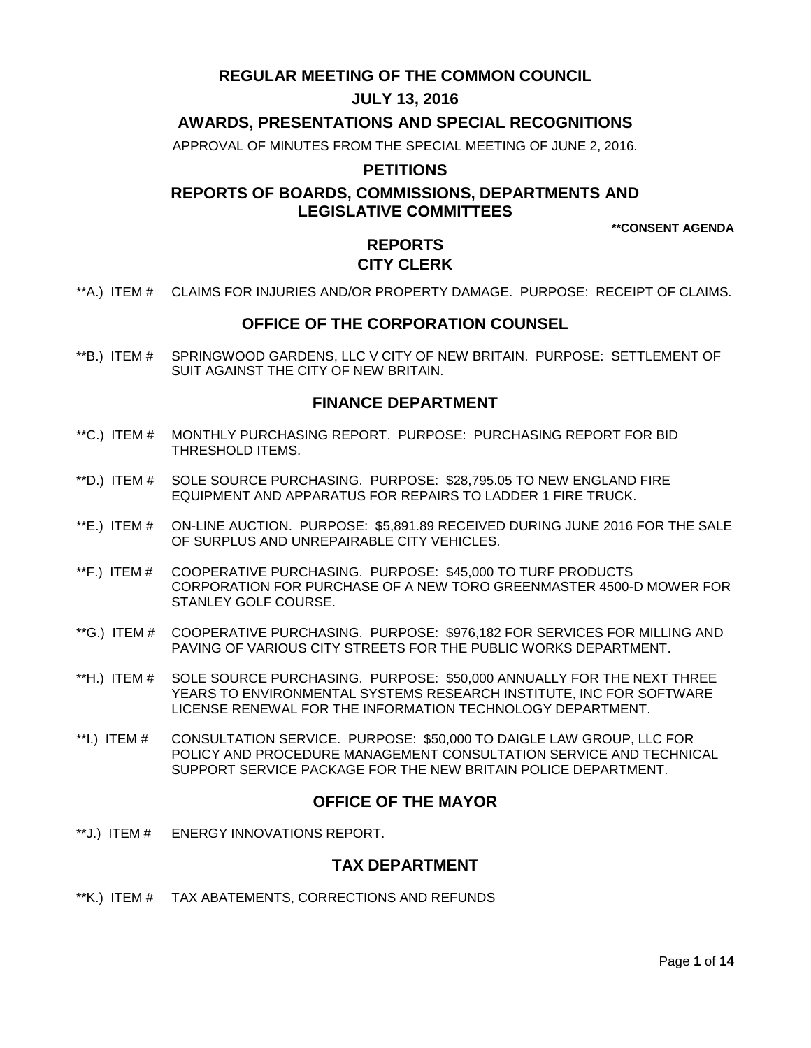## **REGULAR MEETING OF THE COMMON COUNCIL**

## **JULY 13, 2016**

## **AWARDS, PRESENTATIONS AND SPECIAL RECOGNITIONS**

APPROVAL OF MINUTES FROM THE SPECIAL MEETING OF JUNE 2, 2016.

### **PETITIONS**

## **REPORTS OF BOARDS, COMMISSIONS, DEPARTMENTS AND LEGISLATIVE COMMITTEES**

**\*\*CONSENT AGENDA**

# **REPORTS CITY CLERK**

\*\*A.) ITEM # [CLAIMS FOR INJURIES AND/OR PROPERTY DAMAGE. PURPOSE: RECEIPT OF CLAIMS.](#page-2-0)

### **OFFICE OF THE CORPORATION COUNSEL**

\*\*B.) ITEM # [SPRINGWOOD GARDENS, LLC V CITY OF NEW BRITAIN. PURPOSE: SETTLEMENT OF](#page-2-1)  [SUIT AGAINST THE CITY OF NEW BRITAIN.](#page-2-1) 

### **FINANCE DEPARTMENT**

- \*\*C.) ITEM # [MONTHLY PURCHASING REPORT. PURPOSE: PURCHASING REPORT FOR BID](#page-3-0)  [THRESHOLD ITEMS.](#page-3-0)
- \*\*D.) ITEM # [SOLE SOURCE PURCHASING. PURPOSE: \\$28,795.05](#page-3-1) TO NEW ENGLAND FIRE [EQUIPMENT AND APPARATUS FOR REPAIRS TO LADDER 1 FIRE TRUCK.](#page-3-1)
- \*\*E.) ITEM # [ON-LINE AUCTION. PURPOSE: \\$5,891.89 RECEIVED DURING JUNE 2016 FOR THE SALE](#page-4-0)  [OF SURPLUS AND UNREPAIRABLE CITY VEHICLES.](#page-4-0)
- \*\*F.) ITEM # [COOPERATIVE PURCHASING. PURPOSE: \\$45,000 TO TURF PRODUCTS](#page-4-1)  [CORPORATION FOR PURCHASE OF A NEW TORO GREENMASTER 4500-D MOWER FOR](#page-4-1)  [STANLEY GOLF COURSE.](#page-4-1)
- \*\*G.) ITEM # [COOPERATIVE PURCHASING. PURPOSE: \\$976,182 FOR SERVICES FOR MILLING AND](#page-5-0)  [PAVING OF VARIOUS CITY STREETS FOR THE PUBLIC WORKS DEPARTMENT.](#page-5-0)
- \*\*H.) ITEM # [SOLE SOURCE PURCHASING. PURPOSE: \\$50,000 ANNUALLY FOR THE NEXT THREE](#page-6-0)  [YEARS TO ENVIRONMENTAL SYSTEMS RESEARCH INSTITUTE, INC FOR SOFTWARE](#page-6-0)  [LICENSE RENEWAL FOR THE INFORMATION TECHNOLOGY DEPARTMENT.](#page-6-0)
- \*\*I.) ITEM # [CONSULTATION SERVICE. PURPOSE: \\$50,000 TO DAIGLE LAW GROUP, LLC FOR](#page-7-0)  [POLICY AND PROCEDURE MANAGEMENT CONSULTATION SERVICE AND TECHNICAL](#page-7-0)  [SUPPORT SERVICE PACKAGE FOR THE NEW BRITAIN POLICE DEPARTMENT.](#page-7-0)

### **OFFICE OF THE MAYOR**

\*\*J.) ITEM # [ENERGY INNOVATIONS REPORT.](#page-7-1)

### **TAX DEPARTMENT**

\*\*K.) ITEM # [TAX ABATEMENTS, CORRECTIONS AND REFUNDS](#page-7-2)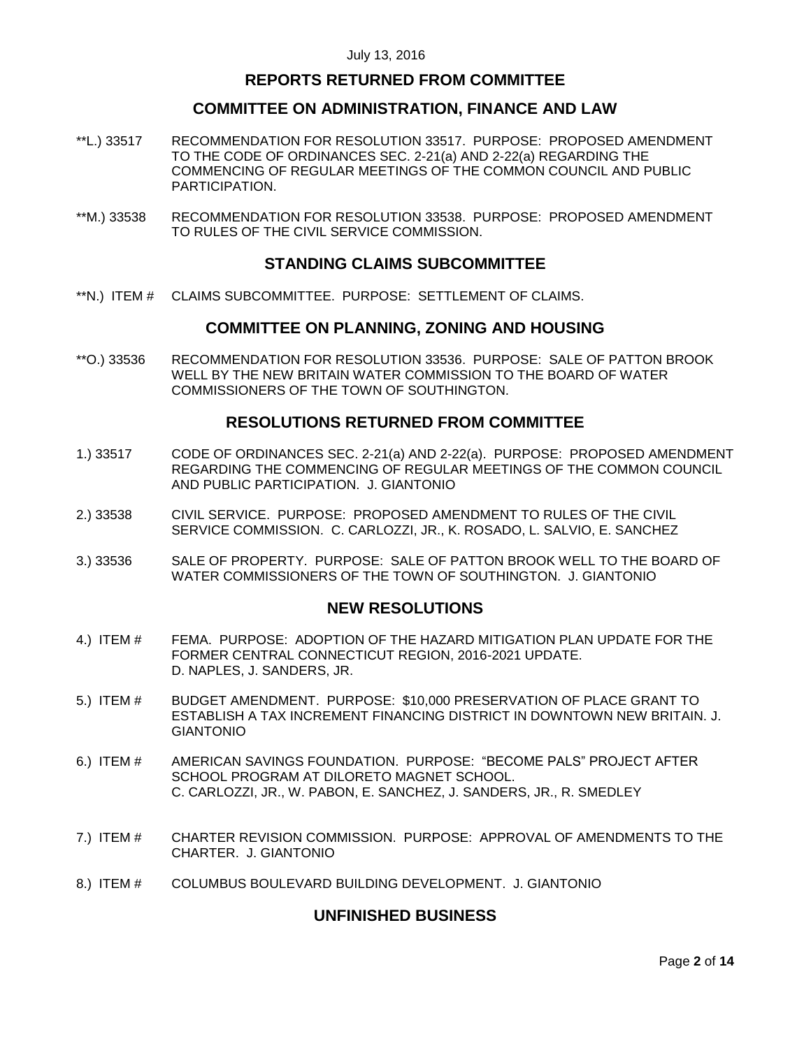### **REPORTS RETURNED FROM COMMITTEE**

### **COMMITTEE ON ADMINISTRATION, FINANCE AND LAW**

- \*\*L.) 33517 [RECOMMENDATION FOR RESOLUTION 33517. PURPOSE: PROPOSED AMENDMENT](#page-8-0)  [TO THE CODE OF ORDINANCES SEC. 2-21\(a\) AND 2-22\(a\) REGARDING THE](#page-8-0)  [COMMENCING OF REGULAR MEETINGS OF THE COMMON COUNCIL AND PUBLIC](#page-8-0)  [PARTICIPATION.](#page-8-0)
- \*\*M.) 33538 [RECOMMENDATION FOR RESOLUTION 33538. PURPOSE: PROPOSED AMENDMENT](#page-8-1)  [TO RULES OF THE CIVIL SERVICE COMMISSION.](#page-8-1)

### **STANDING CLAIMS SUBCOMMITTEE**

\*\*N.) ITEM # [CLAIMS SUBCOMMITTEE. PURPOSE: SETTLEMENT OF CLAIMS.](#page-8-2)

### **COMMITTEE ON PLANNING, ZONING AND HOUSING**

\*\*O.) 33536 [RECOMMENDATION FOR RESOLUTION 33536. PURPOSE: SALE OF PATTON BROOK](#page-9-0)  [WELL BY THE NEW BRITAIN WATER COMMISSION TO THE BOARD OF WATER](#page-9-0)  [COMMISSIONERS OF THE TOWN OF SOUTHINGTON.](#page-9-0)

### **RESOLUTIONS RETURNED FROM COMMITTEE**

- 1.) 33517 CODE [OF ORDINANCES SEC. 2-21\(a\) AND 2-22\(a\). PURPOSE: PROPOSED AMENDMENT](#page-9-1)  [REGARDING THE COMMENCING OF REGULAR MEETINGS OF THE COMMON COUNCIL](#page-9-1)  [AND PUBLIC PARTICIPATION. J. GIANTONIO](#page-9-1)
- 2.) 33538 [CIVIL SERVICE. PURPOSE: PROPOSED AMENDMENT TO RULES OF THE CIVIL](#page-10-0)  [SERVICE COMMISSION. C. CARLOZZI, JR., K. ROSADO, L. SALVIO, E. SANCHEZ](#page-10-0)
- 3.) 33536 [SALE OF PROPERTY. PURPOSE: SALE OF PATTON BROOK WELL TO THE BOARD OF](#page-10-1)  WATER COMMISSIONERS OF THE [TOWN OF SOUTHINGTON. J. GIANTONIO](#page-10-1)

### **NEW RESOLUTIONS**

- 4.) ITEM # [FEMA. PURPOSE: ADOPTION OF THE HAZARD MITIGATION PLAN UPDATE FOR THE](#page-10-2)  [FORMER CENTRAL CONNECTICUT REGION, 2016-2021 UPDATE.](#page-10-2) [D. NAPLES, J. SANDERS, JR.](#page-10-2)
- 5.) ITEM # [BUDGET AMENDMENT. PURPOSE: \\$10,000 PRESERVATION OF PLACE GRANT TO](#page-11-0)  [ESTABLISH A TAX INCREMENT FINANCING DISTRICT IN DOWNTOWN NEW BRITAIN. J.](#page-11-0)  [GIANTONIO](#page-11-0)
- 6.) ITEM # [AMERICAN SAVINGS FOUNDATION. PURPOSE: "BECOME PALS" PROJECT AFTER](#page-12-0)  [SCHOOL PROGRAM AT DILORETO MAGNET SCHOOL.](#page-12-0) [C. CARLOZZI, JR., W. PABON, E. SANCHEZ, J. SANDERS, JR., R. SMEDLEY](#page-12-0)
- 7.) ITEM # [CHARTER REVISION COMMISSION. PURPOSE: APPROVAL OF AMENDMENTS TO THE](#page-12-1)  [CHARTER. J. GIANTONIO](#page-12-1)
- 8.) ITEM # COLUMBUS BOULEVARD [BUILDING DEVELOPMENT. J. GIANTONIO](#page-13-0)

### **UNFINISHED BUSINESS**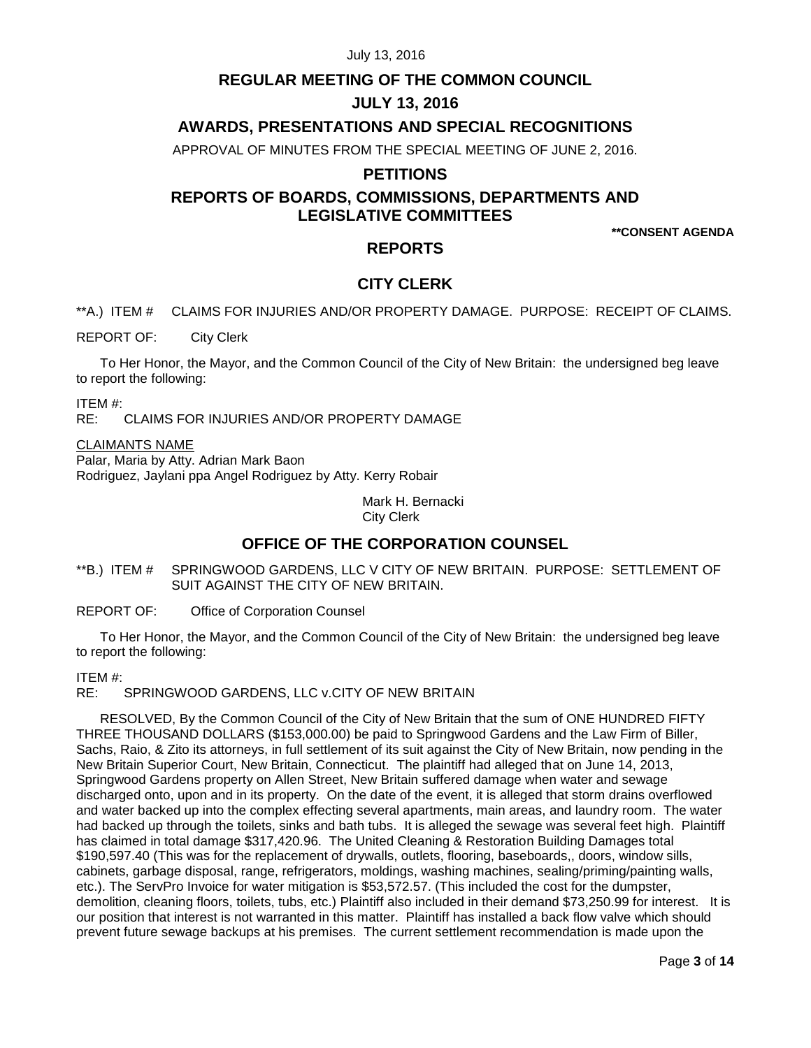### **REGULAR MEETING OF THE COMMON COUNCIL**

## **JULY 13, 2016**

## **AWARDS, PRESENTATIONS AND SPECIAL RECOGNITIONS**

APPROVAL OF MINUTES FROM THE SPECIAL MEETING OF JUNE 2, 2016.

## **PETITIONS**

# **REPORTS OF BOARDS, COMMISSIONS, DEPARTMENTS AND LEGISLATIVE COMMITTEES**

**\*\*CONSENT AGENDA**

## **REPORTS**

### **CITY CLERK**

<span id="page-2-0"></span>\*\*A.) ITEM # CLAIMS FOR INJURIES AND/OR PROPERTY DAMAGE. PURPOSE: RECEIPT OF CLAIMS.

REPORT OF: City Clerk

To Her Honor, the Mayor, and the Common Council of the City of New Britain: the undersigned beg leave to report the following:

ITEM #:

RE: CLAIMS FOR INJURIES AND/OR PROPERTY DAMAGE

#### CLAIMANTS NAME

Palar, Maria by Atty. Adrian Mark Baon Rodriguez, Jaylani ppa Angel Rodriguez by Atty. Kerry Robair

> Mark H. Bernacki City Clerk

## **OFFICE OF THE CORPORATION COUNSEL**

<span id="page-2-1"></span>\*\*B.) ITEM # SPRINGWOOD GARDENS, LLC V CITY OF NEW BRITAIN. PURPOSE: SETTLEMENT OF SUIT AGAINST THE CITY OF NEW BRITAIN.

REPORT OF: Office of Corporation Counsel

To Her Honor, the Mayor, and the Common Council of the City of New Britain: the undersigned beg leave to report the following:

ITEM #:

RE: SPRINGWOOD GARDENS, LLC v.CITY OF NEW BRITAIN

RESOLVED, By the Common Council of the City of New Britain that the sum of ONE HUNDRED FIFTY THREE THOUSAND DOLLARS (\$153,000.00) be paid to Springwood Gardens and the Law Firm of Biller, Sachs, Raio, & Zito its attorneys, in full settlement of its suit against the City of New Britain, now pending in the New Britain Superior Court, New Britain, Connecticut. The plaintiff had alleged that on June 14, 2013, Springwood Gardens property on Allen Street, New Britain suffered damage when water and sewage discharged onto, upon and in its property. On the date of the event, it is alleged that storm drains overflowed and water backed up into the complex effecting several apartments, main areas, and laundry room. The water had backed up through the toilets, sinks and bath tubs. It is alleged the sewage was several feet high. Plaintiff has claimed in total damage \$317,420.96. The United Cleaning & Restoration Building Damages total \$190,597.40 (This was for the replacement of drywalls, outlets, flooring, baseboards,, doors, window sills, cabinets, garbage disposal, range, refrigerators, moldings, washing machines, sealing/priming/painting walls, etc.). The ServPro Invoice for water mitigation is \$53,572.57. (This included the cost for the dumpster, demolition, cleaning floors, toilets, tubs, etc.) Plaintiff also included in their demand \$73,250.99 for interest. It is our position that interest is not warranted in this matter. Plaintiff has installed a back flow valve which should prevent future sewage backups at his premises. The current settlement recommendation is made upon the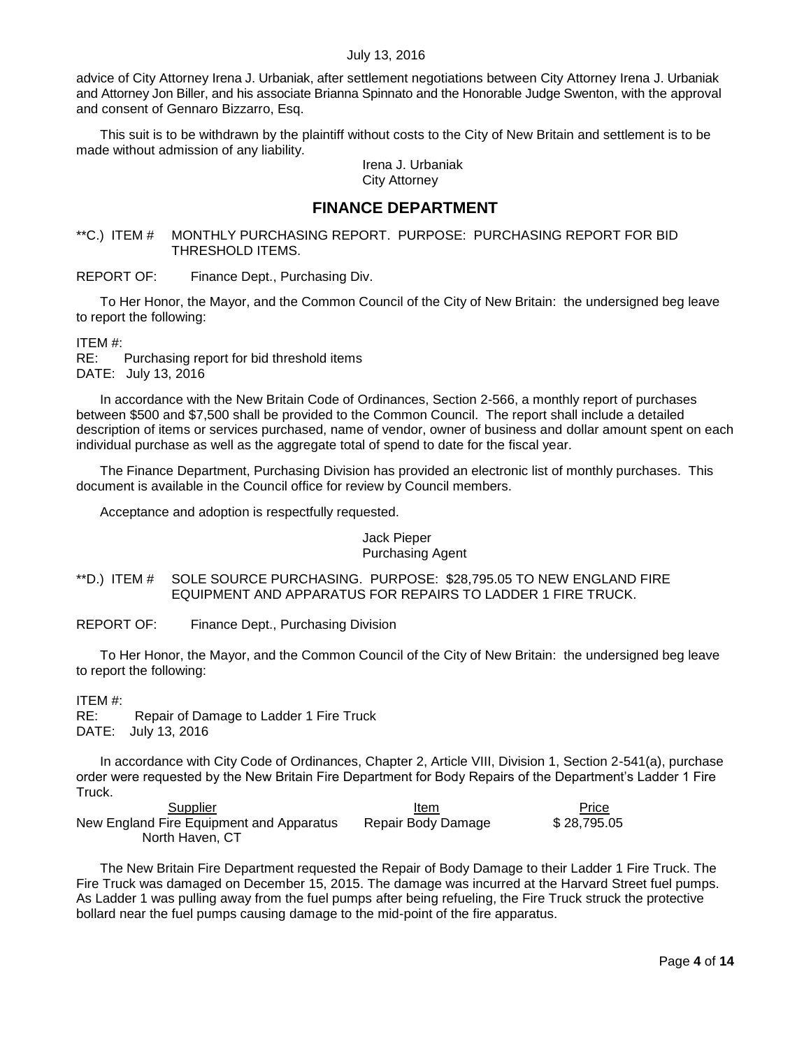advice of City Attorney Irena J. Urbaniak, after settlement negotiations between City Attorney Irena J. Urbaniak and Attorney Jon Biller, and his associate Brianna Spinnato and the Honorable Judge Swenton, with the approval and consent of Gennaro Bizzarro, Esq.

This suit is to be withdrawn by the plaintiff without costs to the City of New Britain and settlement is to be made without admission of any liability.

> Irena J. Urbaniak City Attorney

## **FINANCE DEPARTMENT**

<span id="page-3-0"></span>\*\*C.) ITEM # MONTHLY PURCHASING REPORT. PURPOSE: PURCHASING REPORT FOR BID THRESHOLD ITEMS.

REPORT OF: Finance Dept., Purchasing Div.

To Her Honor, the Mayor, and the Common Council of the City of New Britain: the undersigned beg leave to report the following:

ITEM #:

RE: Purchasing report for bid threshold items DATE: July 13, 2016

In accordance with the New Britain Code of Ordinances, Section 2-566, a monthly report of purchases between \$500 and \$7,500 shall be provided to the Common Council. The report shall include a detailed description of items or services purchased, name of vendor, owner of business and dollar amount spent on each individual purchase as well as the aggregate total of spend to date for the fiscal year.

The Finance Department, Purchasing Division has provided an electronic list of monthly purchases. This document is available in the Council office for review by Council members.

Acceptance and adoption is respectfully requested.

#### Jack Pieper Purchasing Agent

<span id="page-3-1"></span>\*\*D.) ITEM # SOLE SOURCE PURCHASING. PURPOSE: \$28,795.05 TO NEW ENGLAND FIRE EQUIPMENT AND APPARATUS FOR REPAIRS TO LADDER 1 FIRE TRUCK.

REPORT OF: Finance Dept., Purchasing Division

To Her Honor, the Mayor, and the Common Council of the City of New Britain: the undersigned beg leave to report the following:

ITEM #:

RE: Repair of Damage to Ladder 1 Fire Truck DATE: July 13, 2016

In accordance with City Code of Ordinances, Chapter 2, Article VIII, Division 1, Section 2-541(a), purchase order were requested by the New Britain Fire Department for Body Repairs of the Department's Ladder 1 Fire Truck.

**Supplier Contact Supplier Contact Contact Supplier** Contact Contact Learn Price Price New England Fire Equipment and Apparatus Repair Body Damage \$ 28,795.05 North Haven, CT

The New Britain Fire Department requested the Repair of Body Damage to their Ladder 1 Fire Truck. The Fire Truck was damaged on December 15, 2015. The damage was incurred at the Harvard Street fuel pumps. As Ladder 1 was pulling away from the fuel pumps after being refueling, the Fire Truck struck the protective bollard near the fuel pumps causing damage to the mid-point of the fire apparatus.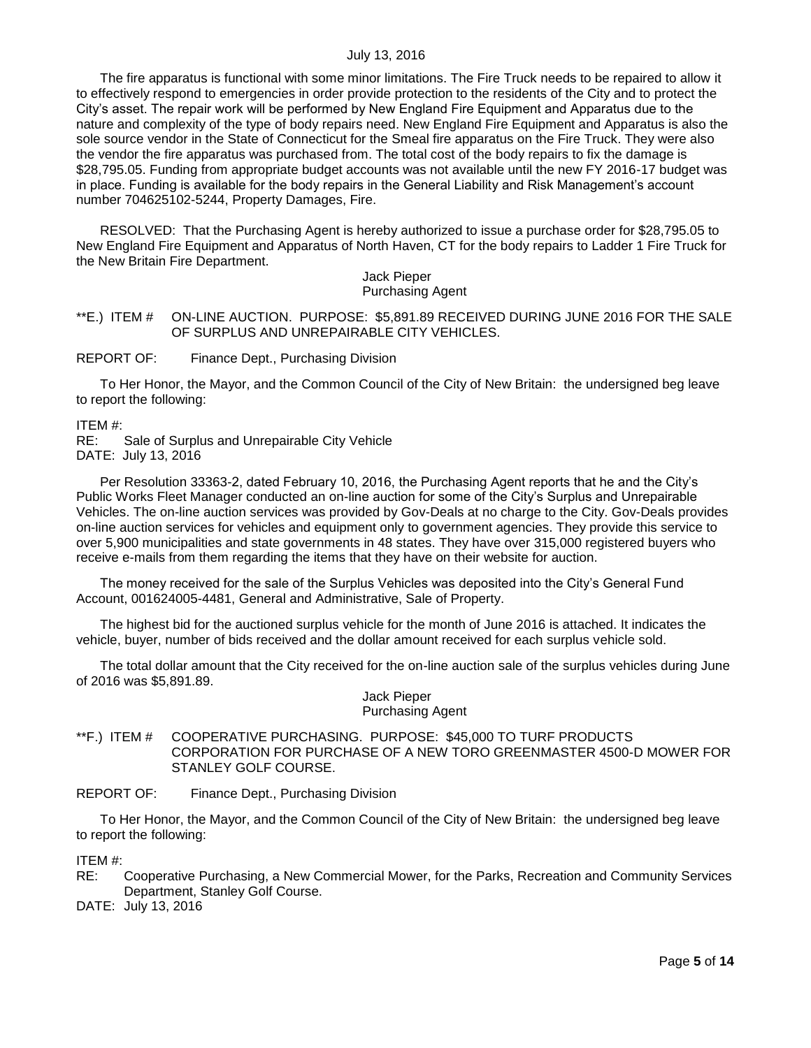The fire apparatus is functional with some minor limitations. The Fire Truck needs to be repaired to allow it to effectively respond to emergencies in order provide protection to the residents of the City and to protect the City's asset. The repair work will be performed by New England Fire Equipment and Apparatus due to the nature and complexity of the type of body repairs need. New England Fire Equipment and Apparatus is also the sole source vendor in the State of Connecticut for the Smeal fire apparatus on the Fire Truck. They were also the vendor the fire apparatus was purchased from. The total cost of the body repairs to fix the damage is \$28,795.05. Funding from appropriate budget accounts was not available until the new FY 2016-17 budget was in place. Funding is available for the body repairs in the General Liability and Risk Management's account number 704625102-5244, Property Damages, Fire.

RESOLVED: That the Purchasing Agent is hereby authorized to issue a purchase order for \$28,795.05 to New England Fire Equipment and Apparatus of North Haven, CT for the body repairs to Ladder 1 Fire Truck for the New Britain Fire Department.

#### Jack Pieper Purchasing Agent

#### <span id="page-4-0"></span>\*\*E.) ITEM # ON-LINE AUCTION. PURPOSE: \$5,891.89 RECEIVED DURING JUNE 2016 FOR THE SALE OF SURPLUS AND UNREPAIRABLE CITY VEHICLES.

REPORT OF: Finance Dept., Purchasing Division

To Her Honor, the Mayor, and the Common Council of the City of New Britain: the undersigned beg leave to report the following:

ITEM #:

RE: Sale of Surplus and Unrepairable City Vehicle DATE: July 13, 2016

Per Resolution 33363-2, dated February 10, 2016, the Purchasing Agent reports that he and the City's Public Works Fleet Manager conducted an on-line auction for some of the City's Surplus and Unrepairable Vehicles. The on-line auction services was provided by Gov-Deals at no charge to the City. Gov-Deals provides on-line auction services for vehicles and equipment only to government agencies. They provide this service to over 5,900 municipalities and state governments in 48 states. They have over 315,000 registered buyers who receive e-mails from them regarding the items that they have on their website for auction.

The money received for the sale of the Surplus Vehicles was deposited into the City's General Fund Account, 001624005-4481, General and Administrative, Sale of Property.

The highest bid for the auctioned surplus vehicle for the month of June 2016 is attached. It indicates the vehicle, buyer, number of bids received and the dollar amount received for each surplus vehicle sold.

The total dollar amount that the City received for the on-line auction sale of the surplus vehicles during June of 2016 was \$5,891.89.

> Jack Pieper Purchasing Agent

<span id="page-4-1"></span>\*\*F.) ITEM # COOPERATIVE PURCHASING. PURPOSE: \$45,000 TO TURF PRODUCTS CORPORATION FOR PURCHASE OF A NEW TORO GREENMASTER 4500-D MOWER FOR STANLEY GOLF COURSE.

REPORT OF: Finance Dept., Purchasing Division

To Her Honor, the Mayor, and the Common Council of the City of New Britain: the undersigned beg leave to report the following:

ITEM #:

RE: Cooperative Purchasing, a New Commercial Mower, for the Parks, Recreation and Community Services Department, Stanley Golf Course.

DATE: July 13, 2016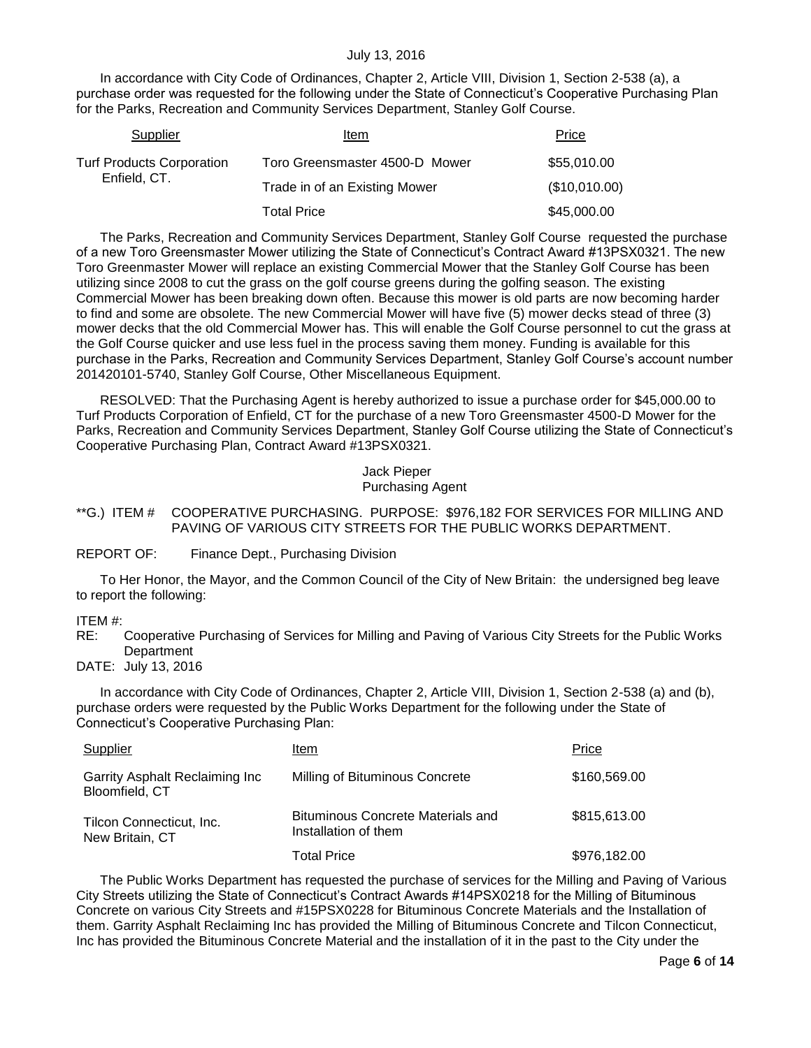In accordance with City Code of Ordinances, Chapter 2, Article VIII, Division 1, Section 2-538 (a), a purchase order was requested for the following under the State of Connecticut's Cooperative Purchasing Plan for the Parks, Recreation and Community Services Department, Stanley Golf Course.

| Supplier                         | Item                           | Price         |
|----------------------------------|--------------------------------|---------------|
| <b>Turf Products Corporation</b> | Toro Greensmaster 4500-D Mower | \$55,010.00   |
| Enfield, CT.                     | Trade in of an Existing Mower  | (\$10,010.00) |
|                                  | Total Price                    | \$45,000.00   |

The Parks, Recreation and Community Services Department, Stanley Golf Course requested the purchase of a new Toro Greensmaster Mower utilizing the State of Connecticut's Contract Award #13PSX0321. The new Toro Greenmaster Mower will replace an existing Commercial Mower that the Stanley Golf Course has been utilizing since 2008 to cut the grass on the golf course greens during the golfing season. The existing Commercial Mower has been breaking down often. Because this mower is old parts are now becoming harder to find and some are obsolete. The new Commercial Mower will have five (5) mower decks stead of three (3) mower decks that the old Commercial Mower has. This will enable the Golf Course personnel to cut the grass at the Golf Course quicker and use less fuel in the process saving them money. Funding is available for this purchase in the Parks, Recreation and Community Services Department, Stanley Golf Course's account number 201420101-5740, Stanley Golf Course, Other Miscellaneous Equipment.

RESOLVED: That the Purchasing Agent is hereby authorized to issue a purchase order for \$45,000.00 to Turf Products Corporation of Enfield, CT for the purchase of a new Toro Greensmaster 4500-D Mower for the Parks, Recreation and Community Services Department, Stanley Golf Course utilizing the State of Connecticut's Cooperative Purchasing Plan, Contract Award #13PSX0321.

#### Jack Pieper Purchasing Agent

### <span id="page-5-0"></span>\*\*G.) ITEM # COOPERATIVE PURCHASING. PURPOSE: \$976,182 FOR SERVICES FOR MILLING AND PAVING OF VARIOUS CITY STREETS FOR THE PUBLIC WORKS DEPARTMENT.

REPORT OF: Finance Dept., Purchasing Division

To Her Honor, the Mayor, and the Common Council of the City of New Britain: the undersigned beg leave to report the following:

#### ITEM #:

RE: Cooperative Purchasing of Services for Milling and Paving of Various City Streets for the Public Works **Department** 

DATE: July 13, 2016

In accordance with City Code of Ordinances, Chapter 2, Article VIII, Division 1, Section 2-538 (a) and (b), purchase orders were requested by the Public Works Department for the following under the State of Connecticut's Cooperative Purchasing Plan:

| Supplier                                         | Item                                                             | Price        |
|--------------------------------------------------|------------------------------------------------------------------|--------------|
| Garrity Asphalt Reclaiming Inc<br>Bloomfield, CT | Milling of Bituminous Concrete                                   | \$160,569.00 |
| Tilcon Connecticut, Inc.<br>New Britain, CT      | <b>Bituminous Concrete Materials and</b><br>Installation of them | \$815,613.00 |
|                                                  | Total Price                                                      | \$976,182.00 |

The Public Works Department has requested the purchase of services for the Milling and Paving of Various City Streets utilizing the State of Connecticut's Contract Awards #14PSX0218 for the Milling of Bituminous Concrete on various City Streets and #15PSX0228 for Bituminous Concrete Materials and the Installation of them. Garrity Asphalt Reclaiming Inc has provided the Milling of Bituminous Concrete and Tilcon Connecticut, Inc has provided the Bituminous Concrete Material and the installation of it in the past to the City under the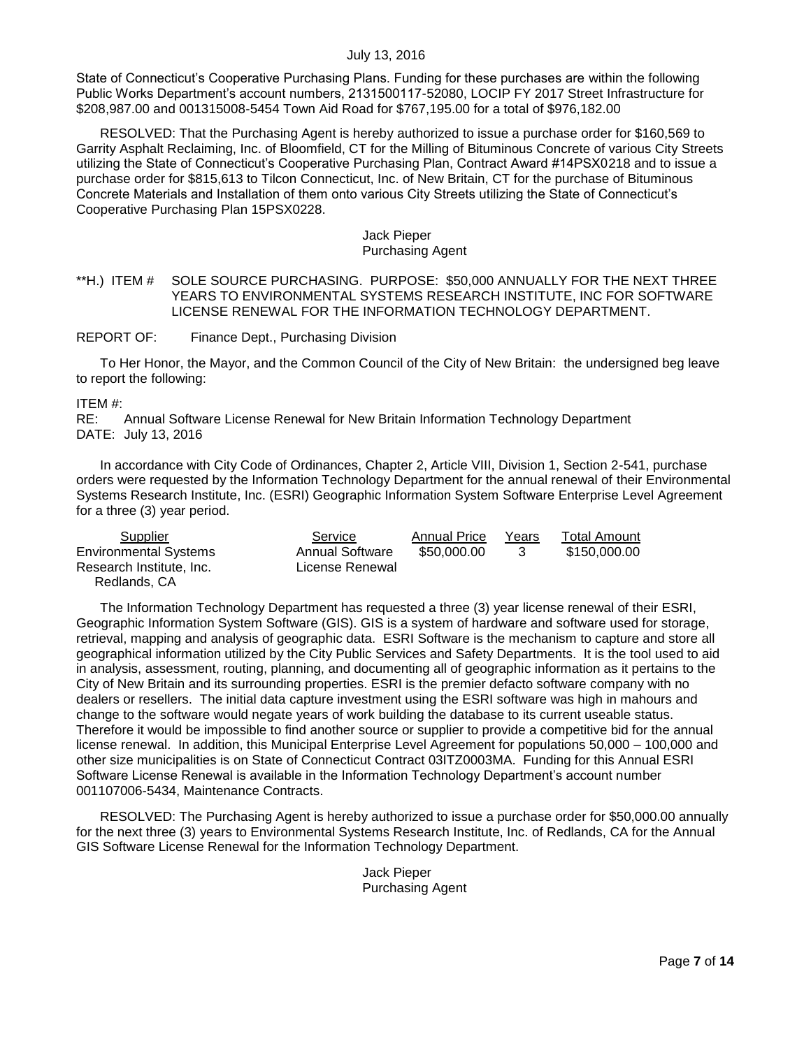State of Connecticut's Cooperative Purchasing Plans. Funding for these purchases are within the following Public Works Department's account numbers, 2131500117-52080, LOCIP FY 2017 Street Infrastructure for \$208,987.00 and 001315008-5454 Town Aid Road for \$767,195.00 for a total of \$976,182.00

RESOLVED: That the Purchasing Agent is hereby authorized to issue a purchase order for \$160,569 to Garrity Asphalt Reclaiming, Inc. of Bloomfield, CT for the Milling of Bituminous Concrete of various City Streets utilizing the State of Connecticut's Cooperative Purchasing Plan, Contract Award #14PSX0218 and to issue a purchase order for \$815,613 to Tilcon Connecticut, Inc. of New Britain, CT for the purchase of Bituminous Concrete Materials and Installation of them onto various City Streets utilizing the State of Connecticut's Cooperative Purchasing Plan 15PSX0228.

#### Jack Pieper Purchasing Agent

#### <span id="page-6-0"></span>\*\*H.) ITEM # SOLE SOURCE PURCHASING. PURPOSE: \$50,000 ANNUALLY FOR THE NEXT THREE YEARS TO ENVIRONMENTAL SYSTEMS RESEARCH INSTITUTE, INC FOR SOFTWARE LICENSE RENEWAL FOR THE INFORMATION TECHNOLOGY DEPARTMENT.

REPORT OF: Finance Dept., Purchasing Division

To Her Honor, the Mayor, and the Common Council of the City of New Britain: the undersigned beg leave to report the following:

#### ITEM #:

RE: Annual Software License Renewal for New Britain Information Technology Department DATE: July 13, 2016

In accordance with City Code of Ordinances, Chapter 2, Article VIII, Division 1, Section 2-541, purchase orders were requested by the Information Technology Department for the annual renewal of their Environmental Systems Research Institute, Inc. (ESRI) Geographic Information System Software Enterprise Level Agreement for a three (3) year period.

| Supplier                     | Service                | <b>Annual Price</b> | Years | Total Amount |
|------------------------------|------------------------|---------------------|-------|--------------|
| <b>Environmental Systems</b> | <b>Annual Software</b> | \$50,000,00         |       | \$150,000.00 |
| Research Institute, Inc.     | License Renewal        |                     |       |              |
| Redlands, CA                 |                        |                     |       |              |

The Information Technology Department has requested a three (3) year license renewal of their ESRI, Geographic Information System Software (GIS). GIS is a system of hardware and software used for storage, retrieval, mapping and analysis of geographic data. ESRI Software is the mechanism to capture and store all geographical information utilized by the City Public Services and Safety Departments. It is the tool used to aid in analysis, assessment, routing, planning, and documenting all of geographic information as it pertains to the City of New Britain and its surrounding properties. ESRI is the premier defacto software company with no dealers or resellers. The initial data capture investment using the ESRI software was high in mahours and change to the software would negate years of work building the database to its current useable status. Therefore it would be impossible to find another source or supplier to provide a competitive bid for the annual license renewal. In addition, this Municipal Enterprise Level Agreement for populations 50,000 – 100,000 and other size municipalities is on State of Connecticut Contract 03ITZ0003MA. Funding for this Annual ESRI Software License Renewal is available in the Information Technology Department's account number 001107006-5434, Maintenance Contracts.

RESOLVED: The Purchasing Agent is hereby authorized to issue a purchase order for \$50,000.00 annually for the next three (3) years to Environmental Systems Research Institute, Inc. of Redlands, CA for the Annual GIS Software License Renewal for the Information Technology Department.

> Jack Pieper Purchasing Agent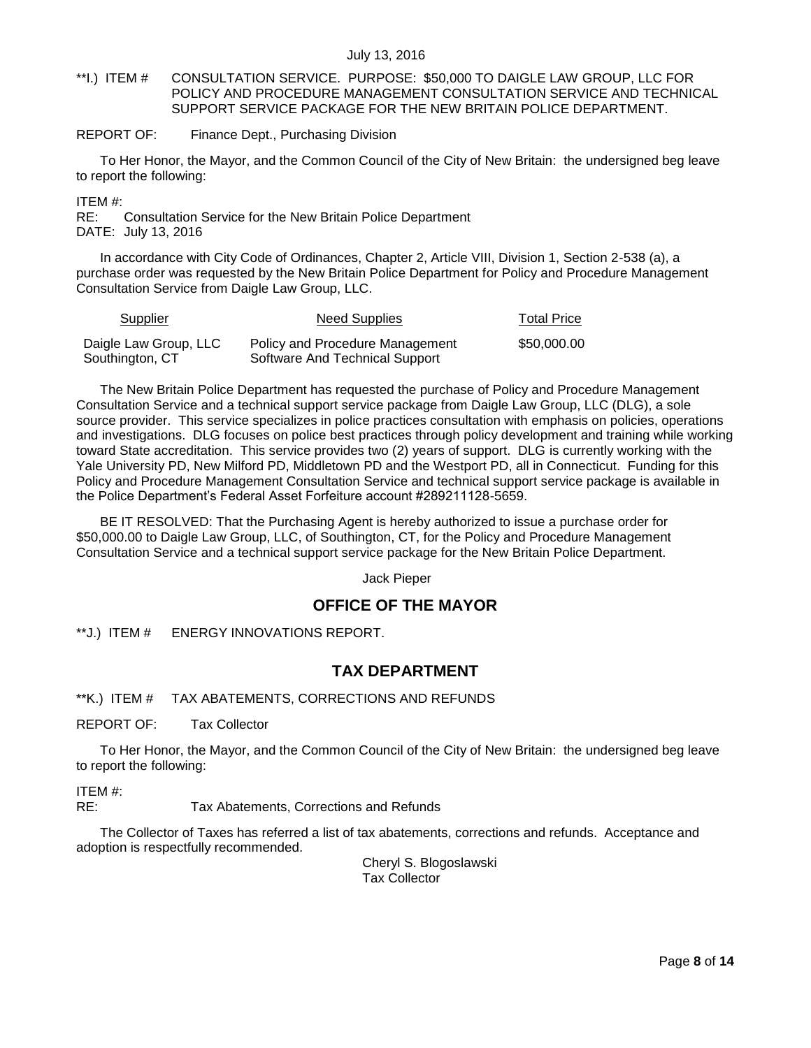- <span id="page-7-0"></span>\*\*I.) ITEM # CONSULTATION SERVICE. PURPOSE: \$50,000 TO DAIGLE LAW GROUP, LLC FOR POLICY AND PROCEDURE MANAGEMENT CONSULTATION SERVICE AND TECHNICAL SUPPORT SERVICE PACKAGE FOR THE NEW BRITAIN POLICE DEPARTMENT.
- REPORT OF: Finance Dept., Purchasing Division

To Her Honor, the Mayor, and the Common Council of the City of New Britain: the undersigned beg leave to report the following:

ITEM #:

RE: Consultation Service for the New Britain Police Department DATE: July 13, 2016

In accordance with City Code of Ordinances, Chapter 2, Article VIII, Division 1, Section 2-538 (a), a purchase order was requested by the New Britain Police Department for Policy and Procedure Management Consultation Service from Daigle Law Group, LLC.

| <b>Supplier</b>       | Need Supplies                   | <b>Total Price</b> |
|-----------------------|---------------------------------|--------------------|
| Daigle Law Group, LLC | Policy and Procedure Management | \$50,000,00        |
| Southington, CT       | Software And Technical Support  |                    |

The New Britain Police Department has requested the purchase of Policy and Procedure Management Consultation Service and a technical support service package from Daigle Law Group, LLC (DLG), a sole source provider. This service specializes in police practices consultation with emphasis on policies, operations and investigations. DLG focuses on police best practices through policy development and training while working toward State accreditation. This service provides two (2) years of support. DLG is currently working with the Yale University PD, New Milford PD, Middletown PD and the Westport PD, all in Connecticut. Funding for this Policy and Procedure Management Consultation Service and technical support service package is available in the Police Department's Federal Asset Forfeiture account #289211128-5659.

BE IT RESOLVED: That the Purchasing Agent is hereby authorized to issue a purchase order for \$50,000.00 to Daigle Law Group, LLC, of Southington, CT, for the Policy and Procedure Management Consultation Service and a technical support service package for the New Britain Police Department.

Jack Pieper

## **OFFICE OF THE MAYOR**

<span id="page-7-1"></span>\*\*J.) ITEM # ENERGY INNOVATIONS REPORT.

## **TAX DEPARTMENT**

<span id="page-7-2"></span>\*\*K.) ITEM # TAX ABATEMENTS, CORRECTIONS AND REFUNDS

REPORT OF: Tax Collector

To Her Honor, the Mayor, and the Common Council of the City of New Britain: the undersigned beg leave to report the following:

ITEM #:

RE: Tax Abatements, Corrections and Refunds

The Collector of Taxes has referred a list of tax abatements, corrections and refunds. Acceptance and adoption is respectfully recommended.

> Cheryl S. Blogoslawski Tax Collector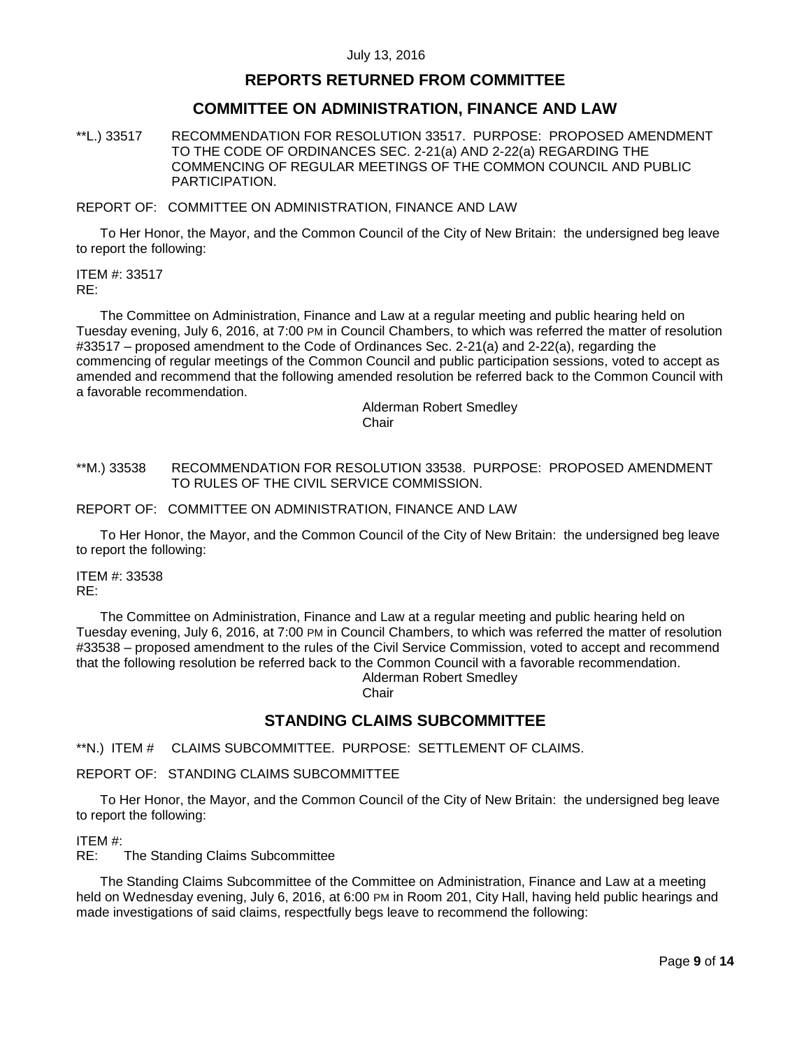### **REPORTS RETURNED FROM COMMITTEE**

### **COMMITTEE ON ADMINISTRATION, FINANCE AND LAW**

<span id="page-8-0"></span>\*\*L.) 33517 RECOMMENDATION FOR RESOLUTION 33517. PURPOSE: PROPOSED AMENDMENT TO THE CODE OF ORDINANCES SEC. 2-21(a) AND 2-22(a) REGARDING THE COMMENCING OF REGULAR MEETINGS OF THE COMMON COUNCIL AND PUBLIC PARTICIPATION.

REPORT OF: COMMITTEE ON ADMINISTRATION, FINANCE AND LAW

To Her Honor, the Mayor, and the Common Council of the City of New Britain: the undersigned beg leave to report the following:

ITEM #: 33517 RE:

The Committee on Administration, Finance and Law at a regular meeting and public hearing held on Tuesday evening, July 6, 2016, at 7:00 PM in Council Chambers, to which was referred the matter of resolution #33517 – proposed amendment to the Code of Ordinances Sec. 2-21(a) and 2-22(a), regarding the commencing of regular meetings of the Common Council and public participation sessions, voted to accept as amended and recommend that the following amended resolution be referred back to the Common Council with a favorable recommendation.

> Alderman Robert Smedley Chair

<span id="page-8-1"></span>\*\*M.) 33538 RECOMMENDATION FOR RESOLUTION 33538. PURPOSE: PROPOSED AMENDMENT TO RULES OF THE CIVIL SERVICE COMMISSION.

REPORT OF: COMMITTEE ON ADMINISTRATION, FINANCE AND LAW

To Her Honor, the Mayor, and the Common Council of the City of New Britain: the undersigned beg leave to report the following:

ITEM #: 33538 RE:

The Committee on Administration, Finance and Law at a regular meeting and public hearing held on Tuesday evening, July 6, 2016, at 7:00 PM in Council Chambers, to which was referred the matter of resolution #33538 – proposed amendment to the rules of the Civil Service Commission, voted to accept and recommend that the following resolution be referred back to the Common Council with a favorable recommendation. Alderman Robert Smedley

**Chair** 

# **STANDING CLAIMS SUBCOMMITTEE**

<span id="page-8-2"></span>\*\*N.) ITEM # CLAIMS SUBCOMMITTEE. PURPOSE: SETTLEMENT OF CLAIMS.

### REPORT OF: STANDING CLAIMS SUBCOMMITTEE

To Her Honor, the Mayor, and the Common Council of the City of New Britain: the undersigned beg leave to report the following:

ITEM #:

RE: The Standing Claims Subcommittee

The Standing Claims Subcommittee of the Committee on Administration, Finance and Law at a meeting held on Wednesday evening, July 6, 2016, at 6:00 PM in Room 201, City Hall, having held public hearings and made investigations of said claims, respectfully begs leave to recommend the following: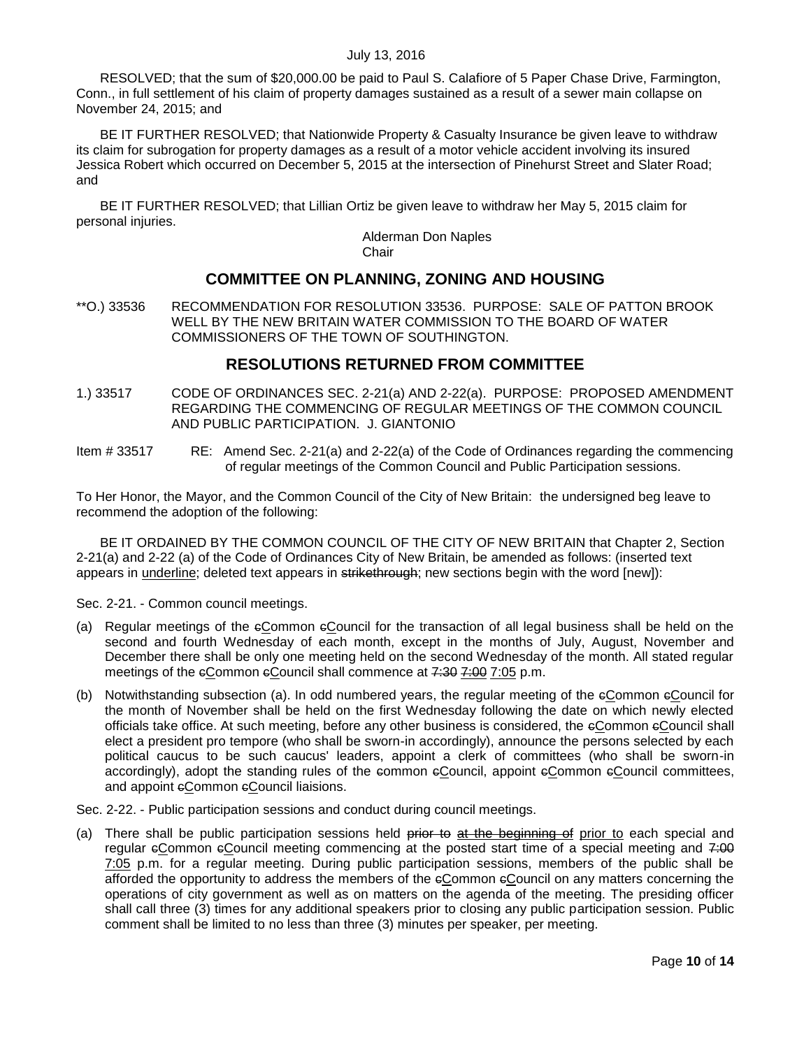RESOLVED; that the sum of \$20,000.00 be paid to Paul S. Calafiore of 5 Paper Chase Drive, Farmington, Conn., in full settlement of his claim of property damages sustained as a result of a sewer main collapse on November 24, 2015; and

BE IT FURTHER RESOLVED; that Nationwide Property & Casualty Insurance be given leave to withdraw its claim for subrogation for property damages as a result of a motor vehicle accident involving its insured Jessica Robert which occurred on December 5, 2015 at the intersection of Pinehurst Street and Slater Road; and

BE IT FURTHER RESOLVED; that Lillian Ortiz be given leave to withdraw her May 5, 2015 claim for personal injuries.

Alderman Don Naples Chair

## **COMMITTEE ON PLANNING, ZONING AND HOUSING**

<span id="page-9-0"></span>\*\*O.) 33536 RECOMMENDATION FOR RESOLUTION 33536. PURPOSE: SALE OF PATTON BROOK WELL BY THE NEW BRITAIN WATER COMMISSION TO THE BOARD OF WATER COMMISSIONERS OF THE TOWN OF SOUTHINGTON.

## **RESOLUTIONS RETURNED FROM COMMITTEE**

- <span id="page-9-1"></span>1.) 33517 CODE OF ORDINANCES SEC. 2-21(a) AND 2-22(a). PURPOSE: PROPOSED AMENDMENT REGARDING THE COMMENCING OF REGULAR MEETINGS OF THE COMMON COUNCIL AND PUBLIC PARTICIPATION. J. GIANTONIO
- Item # 33517 RE: Amend Sec. 2-21(a) and 2-22(a) of the Code of Ordinances regarding the commencing of regular meetings of the Common Council and Public Participation sessions.

To Her Honor, the Mayor, and the Common Council of the City of New Britain: the undersigned beg leave to recommend the adoption of the following:

BE IT ORDAINED BY THE COMMON COUNCIL OF THE CITY OF NEW BRITAIN that Chapter 2, Section 2-21(a) and 2-22 (a) of the Code of Ordinances City of New Britain, be amended as follows: (inserted text appears in underline; deleted text appears in strikethrough; new sections begin with the word [new]):

Sec. 2-21. - Common council meetings.

- (a) Regular meetings of the cCommon cCouncil for the transaction of all legal business shall be held on the second and fourth Wednesday of each month, except in the months of July, August, November and December there shall be only one meeting held on the second Wednesday of the month. All stated regular meetings of the eCommon eCouncil shall commence at 7:30 7:00 7:05 p.m.
- (b) Notwithstanding subsection (a). In odd numbered years, the regular meeting of the cCommon cCouncil for the month of November shall be held on the first Wednesday following the date on which newly elected officials take office. At such meeting, before any other business is considered, the eCommon eCouncil shall elect a president pro tempore (who shall be sworn-in accordingly), announce the persons selected by each political caucus to be such caucus' leaders, appoint a clerk of committees (who shall be sworn-in accordingly), adopt the standing rules of the common eCouncil, appoint eCommon eCouncil committees, and appoint eCommon eCouncil liaisions.

Sec. 2-22. - Public participation sessions and conduct during council meetings.

(a) There shall be public participation sessions held prior to at the beginning of prior to each special and regular eCommon eCouncil meeting commencing at the posted start time of a special meeting and 7:00 7:05 p.m. for a regular meeting. During public participation sessions, members of the public shall be afforded the opportunity to address the members of the cCommon cCouncil on any matters concerning the operations of city government as well as on matters on the agenda of the meeting. The presiding officer shall call three (3) times for any additional speakers prior to closing any public participation session. Public comment shall be limited to no less than three (3) minutes per speaker, per meeting.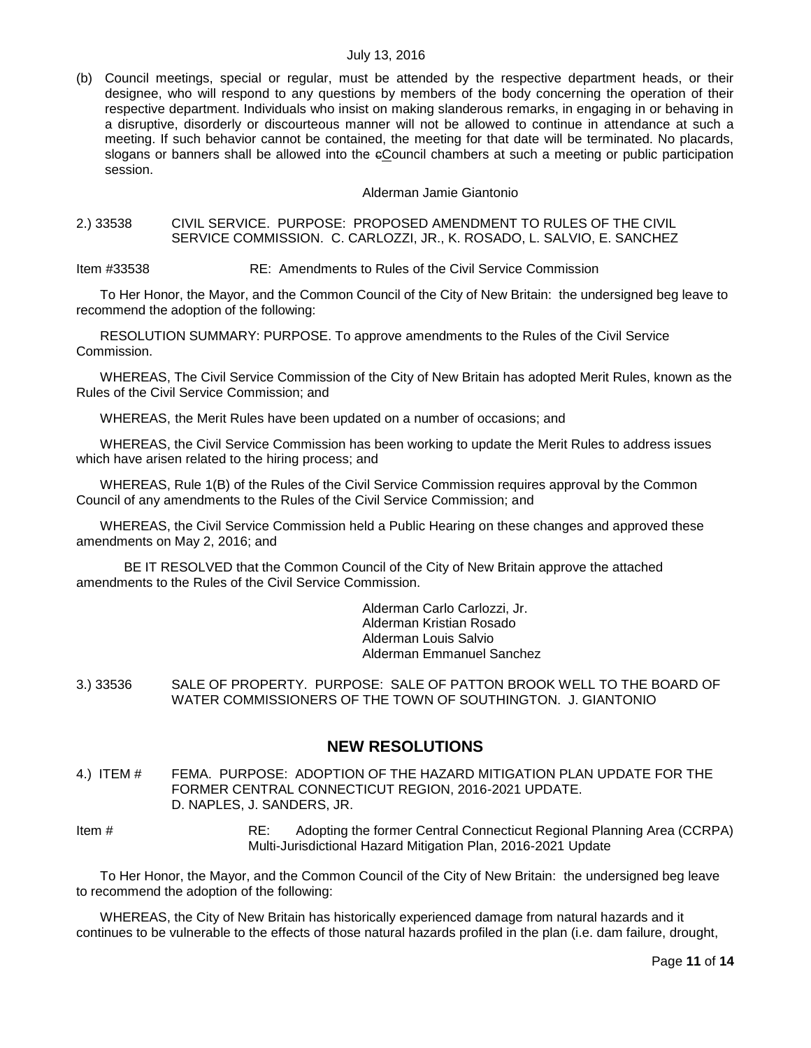(b) Council meetings, special or regular, must be attended by the respective department heads, or their designee, who will respond to any questions by members of the body concerning the operation of their respective department. Individuals who insist on making slanderous remarks, in engaging in or behaving in a disruptive, disorderly or discourteous manner will not be allowed to continue in attendance at such a meeting. If such behavior cannot be contained, the meeting for that date will be terminated. No placards, slogans or banners shall be allowed into the eCouncil chambers at such a meeting or public participation session.

#### Alderman Jamie Giantonio

#### <span id="page-10-0"></span>2.) 33538 CIVIL SERVICE. PURPOSE: PROPOSED AMENDMENT TO RULES OF THE CIVIL SERVICE COMMISSION. C. CARLOZZI, JR., K. ROSADO, L. SALVIO, E. SANCHEZ

Item #33538 RE: Amendments to Rules of the Civil Service Commission

To Her Honor, the Mayor, and the Common Council of the City of New Britain: the undersigned beg leave to recommend the adoption of the following:

RESOLUTION SUMMARY: PURPOSE. To approve amendments to the Rules of the Civil Service Commission.

WHEREAS, The Civil Service Commission of the City of New Britain has adopted Merit Rules, known as the Rules of the Civil Service Commission; and

WHEREAS, the Merit Rules have been updated on a number of occasions; and

WHEREAS, the Civil Service Commission has been working to update the Merit Rules to address issues which have arisen related to the hiring process; and

WHEREAS, Rule 1(B) of the Rules of the Civil Service Commission requires approval by the Common Council of any amendments to the Rules of the Civil Service Commission; and

WHEREAS, the Civil Service Commission held a Public Hearing on these changes and approved these amendments on May 2, 2016; and

BE IT RESOLVED that the Common Council of the City of New Britain approve the attached amendments to the Rules of the Civil Service Commission.

> Alderman Carlo Carlozzi, Jr. Alderman Kristian Rosado Alderman Louis Salvio Alderman Emmanuel Sanchez

<span id="page-10-1"></span>3.) 33536 SALE OF PROPERTY. PURPOSE: SALE OF PATTON BROOK WELL TO THE BOARD OF WATER COMMISSIONERS OF THE TOWN OF SOUTHINGTON. J. GIANTONIO

## **NEW RESOLUTIONS**

- <span id="page-10-2"></span>4.) ITEM # FEMA. PURPOSE: ADOPTION OF THE HAZARD MITIGATION PLAN UPDATE FOR THE FORMER CENTRAL CONNECTICUT REGION, 2016-2021 UPDATE. D. NAPLES, J. SANDERS, JR.
- Item # RE: Adopting the former Central Connecticut Regional Planning Area (CCRPA) Multi-Jurisdictional Hazard Mitigation Plan, 2016-2021 Update

To Her Honor, the Mayor, and the Common Council of the City of New Britain: the undersigned beg leave to recommend the adoption of the following:

WHEREAS, the City of New Britain has historically experienced damage from natural hazards and it continues to be vulnerable to the effects of those natural hazards profiled in the plan (i.e. dam failure, drought,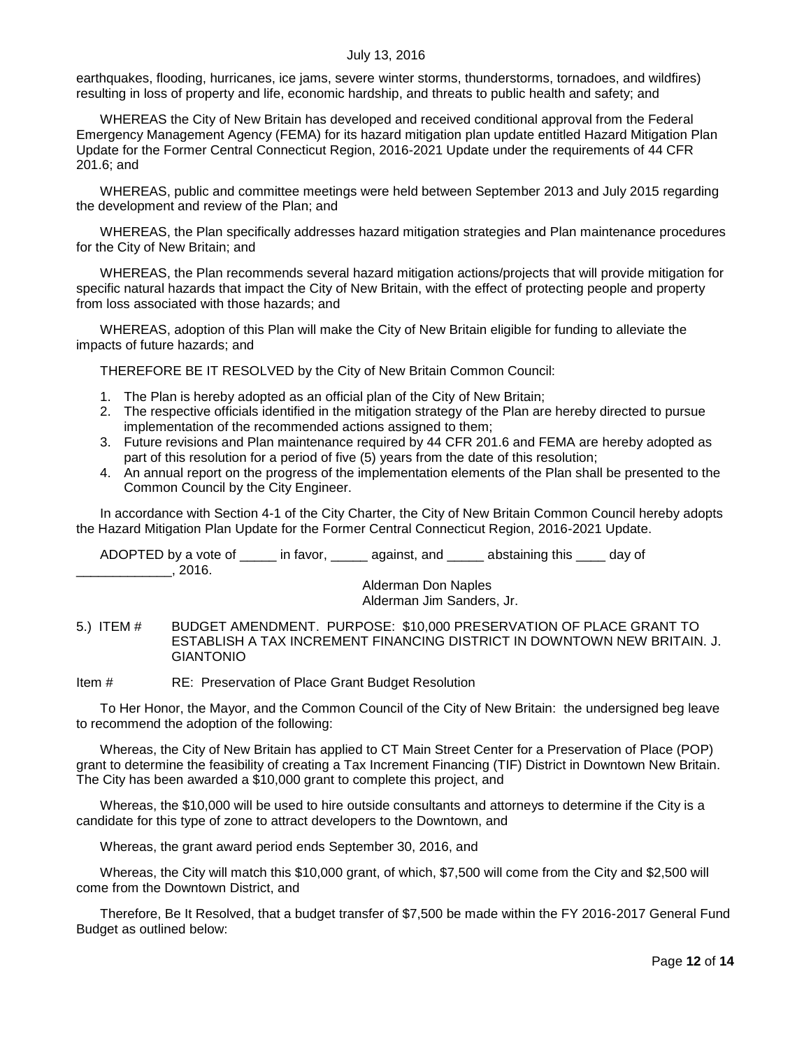earthquakes, flooding, hurricanes, ice jams, severe winter storms, thunderstorms, tornadoes, and wildfires) resulting in loss of property and life, economic hardship, and threats to public health and safety; and

WHEREAS the City of New Britain has developed and received conditional approval from the Federal Emergency Management Agency (FEMA) for its hazard mitigation plan update entitled Hazard Mitigation Plan Update for the Former Central Connecticut Region, 2016-2021 Update under the requirements of 44 CFR 201.6; and

WHEREAS, public and committee meetings were held between September 2013 and July 2015 regarding the development and review of the Plan; and

WHEREAS, the Plan specifically addresses hazard mitigation strategies and Plan maintenance procedures for the City of New Britain; and

WHEREAS, the Plan recommends several hazard mitigation actions/projects that will provide mitigation for specific natural hazards that impact the City of New Britain, with the effect of protecting people and property from loss associated with those hazards; and

WHEREAS, adoption of this Plan will make the City of New Britain eligible for funding to alleviate the impacts of future hazards; and

THEREFORE BE IT RESOLVED by the City of New Britain Common Council:

- 1. The Plan is hereby adopted as an official plan of the City of New Britain;
- 2. The respective officials identified in the mitigation strategy of the Plan are hereby directed to pursue implementation of the recommended actions assigned to them;
- 3. Future revisions and Plan maintenance required by 44 CFR 201.6 and FEMA are hereby adopted as part of this resolution for a period of five (5) years from the date of this resolution;
- 4. An annual report on the progress of the implementation elements of the Plan shall be presented to the Common Council by the City Engineer.

In accordance with Section 4-1 of the City Charter, the City of New Britain Common Council hereby adopts the Hazard Mitigation Plan Update for the Former Central Connecticut Region, 2016-2021 Update.

ADOPTED by a vote of \_\_\_\_\_ in favor, \_\_\_\_\_ against, and \_\_\_\_\_ abstaining this \_\_\_\_ day of \_\_\_\_\_\_\_\_\_\_\_\_\_, 2016.

Alderman Don Naples Alderman Jim Sanders, Jr.

<span id="page-11-0"></span>5.) ITEM # BUDGET AMENDMENT. PURPOSE: \$10,000 PRESERVATION OF PLACE GRANT TO ESTABLISH A TAX INCREMENT FINANCING DISTRICT IN DOWNTOWN NEW BRITAIN. J. GIANTONIO

Item # RE: Preservation of Place Grant Budget Resolution

To Her Honor, the Mayor, and the Common Council of the City of New Britain: the undersigned beg leave to recommend the adoption of the following:

Whereas, the City of New Britain has applied to CT Main Street Center for a Preservation of Place (POP) grant to determine the feasibility of creating a Tax Increment Financing (TIF) District in Downtown New Britain. The City has been awarded a \$10,000 grant to complete this project, and

Whereas, the \$10,000 will be used to hire outside consultants and attorneys to determine if the City is a candidate for this type of zone to attract developers to the Downtown, and

Whereas, the grant award period ends September 30, 2016, and

Whereas, the City will match this \$10,000 grant, of which, \$7,500 will come from the City and \$2,500 will come from the Downtown District, and

Therefore, Be It Resolved, that a budget transfer of \$7,500 be made within the FY 2016-2017 General Fund Budget as outlined below: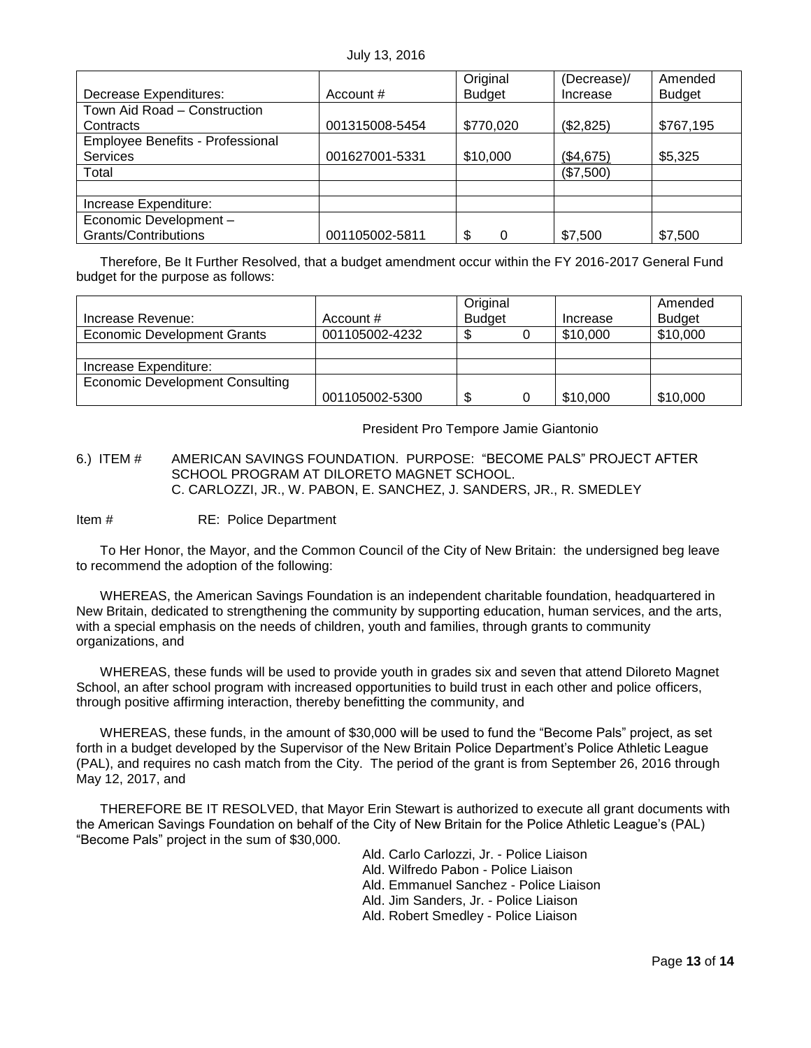|                                  |                | Original      | (Decrease)/ | Amended       |
|----------------------------------|----------------|---------------|-------------|---------------|
| Decrease Expenditures:           | Account #      | <b>Budget</b> | Increase    | <b>Budget</b> |
| Town Aid Road - Construction     |                |               |             |               |
| Contracts                        | 001315008-5454 | \$770,020     | (\$2,825)   | \$767,195     |
| Employee Benefits - Professional |                |               |             |               |
| <b>Services</b>                  | 001627001-5331 | \$10,000      | (\$4,675)   | \$5,325       |
| Total                            |                |               | (\$7,500)   |               |
|                                  |                |               |             |               |
| Increase Expenditure:            |                |               |             |               |
| Economic Development -           |                |               |             |               |
| Grants/Contributions             | 001105002-5811 | \$<br>0       | \$7,500     | \$7,500       |

Therefore, Be It Further Resolved, that a budget amendment occur within the FY 2016-2017 General Fund budget for the purpose as follows:

|                                        |                | Original      |          | Amended       |
|----------------------------------------|----------------|---------------|----------|---------------|
| Increase Revenue:                      | Account #      | <b>Budget</b> | Increase | <b>Budget</b> |
| Economic Development Grants            | 001105002-4232 |               | \$10,000 | \$10,000      |
|                                        |                |               |          |               |
| Increase Expenditure:                  |                |               |          |               |
| <b>Economic Development Consulting</b> |                |               |          |               |
|                                        | 001105002-5300 | \$            | \$10,000 | \$10,000      |

President Pro Tempore Jamie Giantonio

### <span id="page-12-0"></span>6.) ITEM # AMERICAN SAVINGS FOUNDATION. PURPOSE: "BECOME PALS" PROJECT AFTER SCHOOL PROGRAM AT DILORETO MAGNET SCHOOL. C. CARLOZZI, JR., W. PABON, E. SANCHEZ, J. SANDERS, JR., R. SMEDLEY

Item # RE: Police Department

To Her Honor, the Mayor, and the Common Council of the City of New Britain: the undersigned beg leave to recommend the adoption of the following:

WHEREAS, the American Savings Foundation is an independent charitable foundation, headquartered in New Britain, dedicated to strengthening the community by supporting education, human services, and the arts, with a special emphasis on the needs of children, youth and families, through grants to community organizations, and

WHEREAS, these funds will be used to provide youth in grades six and seven that attend Diloreto Magnet School, an after school program with increased opportunities to build trust in each other and police officers, through positive affirming interaction, thereby benefitting the community, and

WHEREAS, these funds, in the amount of \$30,000 will be used to fund the "Become Pals" project, as set forth in a budget developed by the Supervisor of the New Britain Police Department's Police Athletic League (PAL), and requires no cash match from the City. The period of the grant is from September 26, 2016 through May 12, 2017, and

<span id="page-12-1"></span>THEREFORE BE IT RESOLVED, that Mayor Erin Stewart is authorized to execute all grant documents with the American Savings Foundation on behalf of the City of New Britain for the Police Athletic League's (PAL) "Become Pals" project in the sum of \$30,000.

Ald. Carlo Carlozzi, Jr. - Police Liaison

- Ald. Wilfredo Pabon Police Liaison
- Ald. Emmanuel Sanchez Police Liaison
- Ald. Jim Sanders, Jr. Police Liaison
- Ald. Robert Smedley Police Liaison